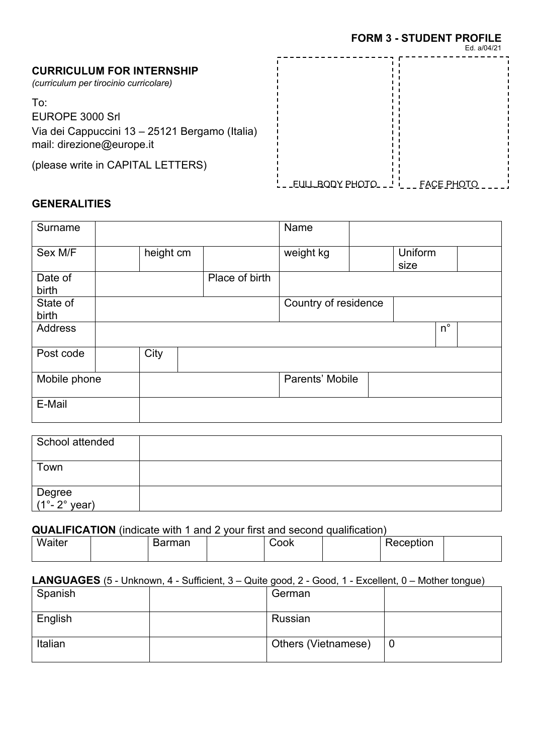# **CURRICULUM FOR INTERNSHIP**

*(curriculum per tirocinio curricolare)*

To:

EUROPE 3000 Srl Via dei Cappuccini 13 – 25121 Bergamo (Italia) mail: direzione@europe.it

(please write in CAPITAL LETTERS)

|                         | Ed. a/04/21       |
|-------------------------|-------------------|
|                         |                   |
| <b>EULL BODY PHOTO_</b> | <b>FACE PHOTO</b> |

# **GENERALITIES**

| Surname           |           |                | Name                 |                 |  |
|-------------------|-----------|----------------|----------------------|-----------------|--|
| Sex M/F           | height cm |                | weight kg            | Uniform<br>size |  |
| Date of<br>birth  |           | Place of birth |                      |                 |  |
| State of<br>birth |           |                | Country of residence |                 |  |
| Address           |           |                |                      | $n^{\circ}$     |  |
| Post code         | City      |                |                      |                 |  |
| Mobile phone      |           |                | Parents' Mobile      |                 |  |
| E-Mail            |           |                |                      |                 |  |

| School attended         |  |
|-------------------------|--|
| Town                    |  |
| Degree<br>(1°- 2° year) |  |

# **QUALIFICATION** (indicate with 1 and 2 your first and second qualification)

| Waiter | Barman | Cook | Reception |  |
|--------|--------|------|-----------|--|
|        |        |      |           |  |

# **LANGUAGES** (5 - Unknown, 4 - Sufficient, 3 – Quite good, 2 - Good, 1 - Excellent, 0 – Mother tongue)

| Spanish | German              |   |
|---------|---------------------|---|
| English | Russian             |   |
| Italian | Others (Vietnamese) | 0 |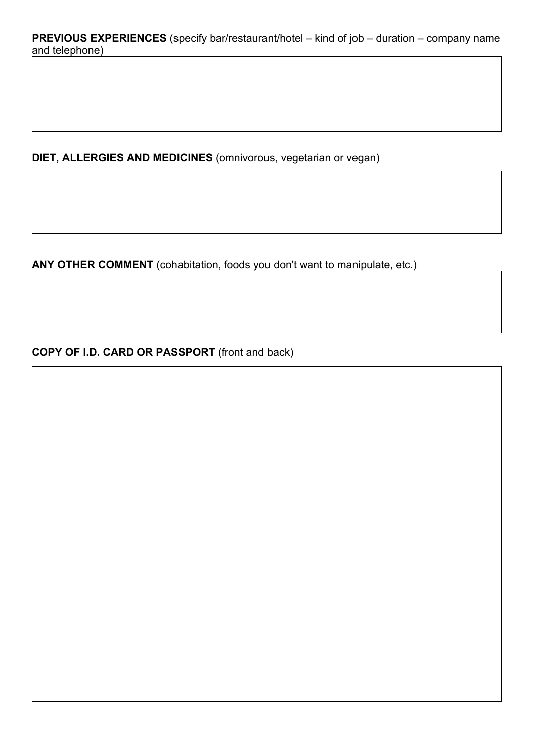**DIET, ALLERGIES AND MEDICINES** (omnivorous, vegetarian or vegan)

**ANY OTHER COMMENT** (cohabitation, foods you don't want to manipulate, etc.)

**COPY OF I.D. CARD OR PASSPORT** (front and back)